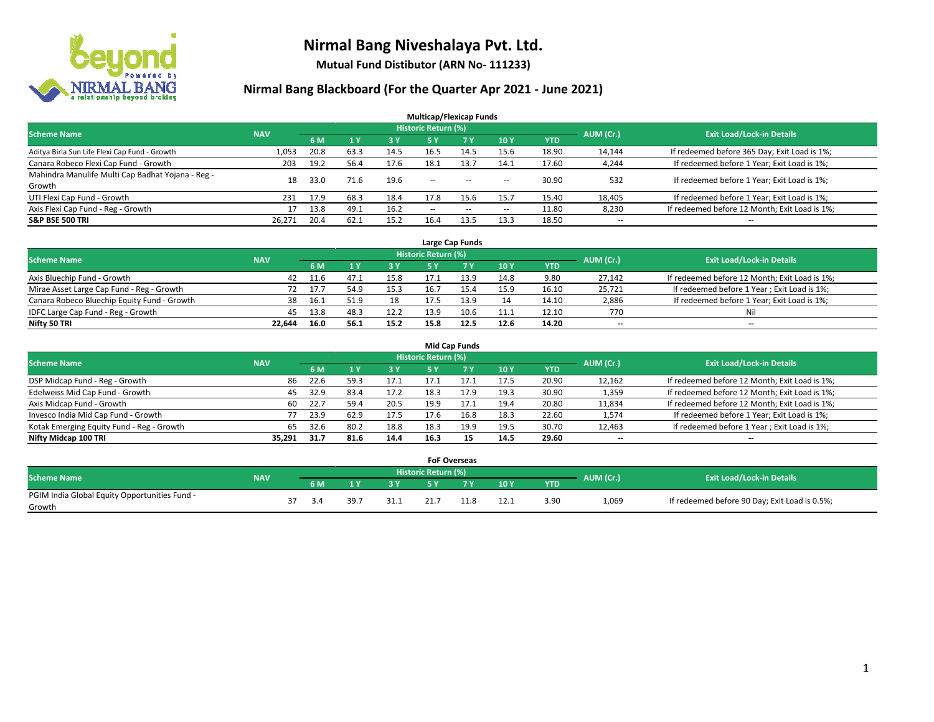

**Mutual Fund Distibutor (ARN No- 111233)**

| <b>Multicap/Flexicap Funds</b>                    |            |      |                |            |                            |                                                |                          |            |                          |                                               |  |  |  |
|---------------------------------------------------|------------|------|----------------|------------|----------------------------|------------------------------------------------|--------------------------|------------|--------------------------|-----------------------------------------------|--|--|--|
| <b>Scheme Name</b>                                | <b>NAV</b> |      |                |            | <b>Historic Return (%)</b> |                                                |                          |            | AUM (Cr.)                | <b>Exit Load/Lock-in Details</b>              |  |  |  |
|                                                   |            | 6 M  | 1 <sub>Y</sub> | <b>3 Y</b> | 5 Y                        | <b>7 Y</b>                                     | <b>10Y</b>               | <b>YTD</b> |                          |                                               |  |  |  |
| Aditya Birla Sun Life Flexi Cap Fund - Growth     | 1,053      | 20.8 | 63.3           | 14.5       | 16.5                       | 14.5                                           | 15.6                     | 18.90      | 14,144                   | If redeemed before 365 Day; Exit Load is 1%;  |  |  |  |
| Canara Robeco Flexi Cap Fund - Growth             | 203        | 19.2 | 56.4           | 17.6       | 18.1                       | 13.7                                           | 14.1                     | 17.60      | 4,244                    | If redeemed before 1 Year; Exit Load is 1%;   |  |  |  |
| Mahindra Manulife Multi Cap Badhat Yojana - Reg - | 18         | 33.0 | 71.6           | 19.6       | $\overline{\phantom{a}}$   | $\hspace{0.1mm}-\hspace{0.1mm}-\hspace{0.1mm}$ |                          | 30.90      | 532                      | If redeemed before 1 Year; Exit Load is 1%;   |  |  |  |
| Growth                                            |            |      |                |            |                            |                                                | $\overline{\phantom{a}}$ |            |                          |                                               |  |  |  |
| UTI Flexi Cap Fund - Growth                       | 231        | 17.9 | 68.3           | 18.4       | 17.8                       | 15.6                                           | 15.7                     | 15.40      | 18,405                   | If redeemed before 1 Year; Exit Load is 1%;   |  |  |  |
| Axis Flexi Cap Fund - Reg - Growth                | 17         | 13.8 | 49.1           | 16.2       | $\overline{\phantom{a}}$   | $\sim$                                         | $\overline{\phantom{a}}$ | 11.80      | 8,230                    | If redeemed before 12 Month; Exit Load is 1%; |  |  |  |
| <b>S&amp;P BSE 500 TRI</b>                        | 26.271     | 20.4 | 62.7           | 15.2       | 16.4                       | 13.5                                           | 13.3                     | 18.50      | $\overline{\phantom{a}}$ | $- -$                                         |  |  |  |

|                                             |            |      |      |      |                            | Large Cap Funds |      |            |           |                                               |
|---------------------------------------------|------------|------|------|------|----------------------------|-----------------|------|------------|-----------|-----------------------------------------------|
| <b>Scheme Name</b>                          | <b>NAV</b> |      |      |      | <b>Historic Return (%)</b> |                 |      |            | AUM (Cr.) | <b>Exit Load/Lock-in Details</b>              |
|                                             |            | 6 M  |      | 3 Y  |                            | 7 Y             | 10Y  | <b>YTD</b> |           |                                               |
| Axis Bluechip Fund - Growth                 | 42         | 11.6 | 47.1 | 15.8 | 17.1                       |                 | 14.8 | 9.80       | 27,142    | If redeemed before 12 Month; Exit Load is 1%; |
| Mirae Asset Large Cap Fund - Reg - Growth   | 72         | 17.7 | 54.9 | 15.3 | 16.7                       |                 | 15.9 | 16.10      | 25,721    | If redeemed before 1 Year; Exit Load is 1%;   |
| Canara Robeco Bluechip Equity Fund - Growth | 38         | 16.1 | 51.9 | 18   |                            |                 | 14   | 14.10      | 2,886     | If redeemed before 1 Year; Exit Load is 1%;   |
| IDFC Large Cap Fund - Reg - Growth          | 45         | 13.8 | 48.  | 12.2 | 13.9                       | 10.6            | 11.1 | 12.10      | 770       | Nil                                           |
| Nifty 50 TRI                                | 22.644     | 16.0 | 56.1 | 15.2 | 15.8                       | 12.5            | 12.6 | 14.20      | $- -$     | $-$                                           |

| <b>Mid Cap Funds</b>                      |            |           |                                  |           |      |      |      |            |                          |                                               |  |  |  |
|-------------------------------------------|------------|-----------|----------------------------------|-----------|------|------|------|------------|--------------------------|-----------------------------------------------|--|--|--|
| <b>Scheme Name</b>                        | <b>NAV</b> | AUM (Cr.) | <b>Exit Load/Lock-in Details</b> |           |      |      |      |            |                          |                                               |  |  |  |
|                                           |            | 6 M       |                                  | <b>3Y</b> | 5 Y  |      | 10Y  | <b>YTD</b> |                          |                                               |  |  |  |
| DSP Midcap Fund - Reg - Growth            | 86         | 22.6      | 59.3                             | 17.1      | 17.1 | 17.1 | 17.5 | 20.90      | 12,162                   | If redeemed before 12 Month; Exit Load is 1%; |  |  |  |
| Edelweiss Mid Cap Fund - Growth           | 45         | 32.9      | 83.4                             | 17.2      | 18.3 | 17.9 | 19.3 | 30.90      | 1,359                    | If redeemed before 12 Month; Exit Load is 1%; |  |  |  |
| Axis Midcap Fund - Growth                 | 60         | 22.7      | 59.4                             | 20.5      | 19.9 | 17.1 | 19.4 | 20.80      | 11,834                   | If redeemed before 12 Month; Exit Load is 1%; |  |  |  |
| Invesco India Mid Cap Fund - Growth       |            | 23.9      | 62.9                             | 17.5      | 17.6 | 16.8 | 18.3 | 22.60      | 1,574                    | If redeemed before 1 Year; Exit Load is 1%;   |  |  |  |
| Kotak Emerging Equity Fund - Reg - Growth | 65         | 32.6      | 80.2                             | 18.8      | 18.3 | 19.9 | 19.5 | 30.70      | 12,463                   | If redeemed before 1 Year; Exit Load is 1%;   |  |  |  |
| Nifty Midcap 100 TRI                      | 35.291     | 31.7      | 81.6                             | 14.4      | 16.3 | 15   | 14.5 | 29.60      | $\overline{\phantom{m}}$ | $\overline{\phantom{a}}$                      |  |  |  |

|                                                         |            |     |      |      |                     | <b>FoF Overseas</b> |      |            |           |                                               |
|---------------------------------------------------------|------------|-----|------|------|---------------------|---------------------|------|------------|-----------|-----------------------------------------------|
| Scheme Name                                             | <b>NAV</b> |     |      |      | Historic Return (%) |                     |      |            | AUM (Cr.) | <b>Exit Load/Lock-in Details</b>              |
|                                                         |            | 6 M |      | o v  |                     | 7 V                 | 10Y  | <b>YTD</b> |           |                                               |
| PGIM India Global Equity Opportunities Fund -<br>Growth |            | -21 | 39.7 | 31.1 | .                   |                     | 12.1 | 3.90       | 1,069     | If redeemed before 90 Day; Exit Load is 0.5%; |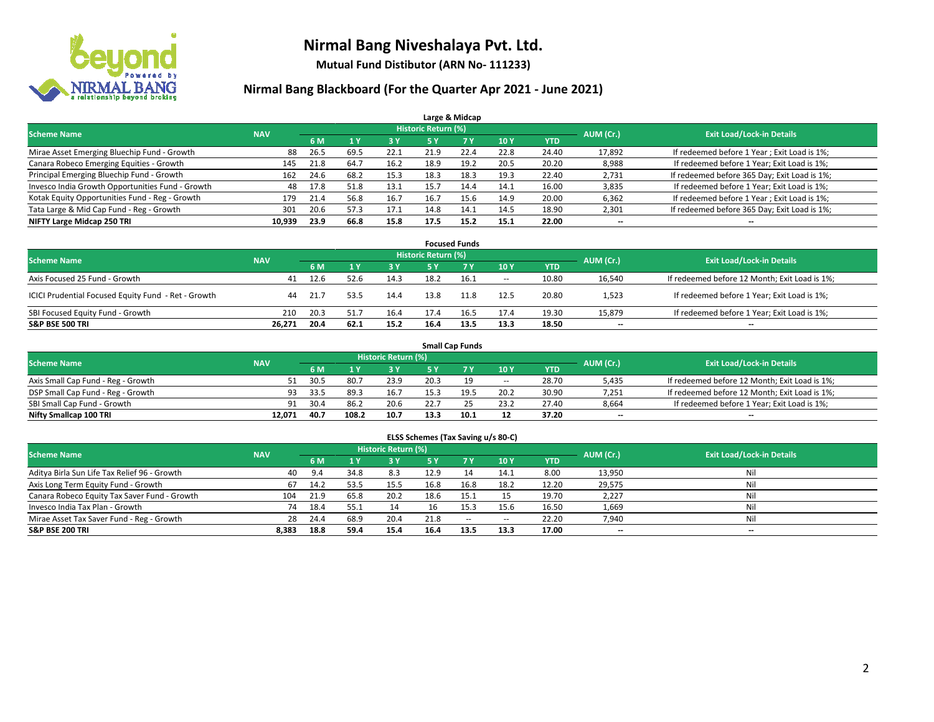

**Mutual Fund Distibutor (ARN No- 111233)**

| Large & Midcap                                   |                                                                             |      |      |            |      |      |      |            |        |                                              |  |  |  |  |  |
|--------------------------------------------------|-----------------------------------------------------------------------------|------|------|------------|------|------|------|------------|--------|----------------------------------------------|--|--|--|--|--|
|                                                  | <b>Historic Return (%)</b><br><b>Scheme Name</b><br>AUM (Cr.)<br><b>NAV</b> |      |      |            |      |      |      |            |        |                                              |  |  |  |  |  |
|                                                  |                                                                             | 6 M  |      | <b>3 Y</b> | 5 Y  | 7 Y  | 10Y  | <b>YTD</b> |        | <b>Exit Load/Lock-in Details</b>             |  |  |  |  |  |
| Mirae Asset Emerging Bluechip Fund - Growth      | 88                                                                          | 26.5 | 69.5 | 22.1       | 21.9 | 22.4 | 22.8 | 24.40      | 17,892 | If redeemed before 1 Year; Exit Load is 1%;  |  |  |  |  |  |
| Canara Robeco Emerging Equities - Growth         | 145                                                                         | 21.8 | 64.7 | 16.2       | 18.9 | 19.2 | 20.5 | 20.20      | 8,988  | If redeemed before 1 Year; Exit Load is 1%;  |  |  |  |  |  |
| Principal Emerging Bluechip Fund - Growth        | 162                                                                         | 24.6 | 68.2 | 15.3       | 18.3 | 18.3 | 19.3 | 22.40      | 2,731  | If redeemed before 365 Day; Exit Load is 1%; |  |  |  |  |  |
| Invesco India Growth Opportunities Fund - Growth | 48                                                                          | 17.8 | 51.8 | 13.1       | 15.7 | 14.4 | 14.1 | 16.00      | 3,835  | If redeemed before 1 Year; Exit Load is 1%;  |  |  |  |  |  |
| Kotak Equity Opportunities Fund - Reg - Growth   | 179                                                                         | 21.4 | 56.8 | 16.7       | 16.7 | 15.6 | 14.9 | 20.00      | 6,362  | If redeemed before 1 Year; Exit Load is 1%;  |  |  |  |  |  |
| Tata Large & Mid Cap Fund - Reg - Growth         | 301                                                                         | 20.6 | 57.3 | 17.1       | 14.8 | 14.1 | 14.5 | 18.90      | 2,301  | If redeemed before 365 Day; Exit Load is 1%; |  |  |  |  |  |
| NIFTY Large Midcap 250 TRI                       | 10,939                                                                      | 23.9 | 66.8 | 15.8       | 17.5 | 15.2 | 15.1 | 22.00      | --     | --                                           |  |  |  |  |  |

| <b>Focused Funds</b>                                |            |        |      |            |                     |       |                          |            |           |                                               |  |  |  |
|-----------------------------------------------------|------------|--------|------|------------|---------------------|-------|--------------------------|------------|-----------|-----------------------------------------------|--|--|--|
| <b>Scheme Name</b>                                  | <b>NAV</b> |        |      |            | Historic Return (%) |       |                          |            | AUM (Cr.) | <b>Exit Load/Lock-in Details</b>              |  |  |  |
|                                                     |            | 6 M    |      | <b>3 Y</b> | 5 Y                 | 7 T V | 10Y                      | <b>YTD</b> |           |                                               |  |  |  |
| Axis Focused 25 Fund - Growth                       | 41         | 12.6   | 52.6 | 14.3       | 18.2                | 16.1  | $\overline{\phantom{a}}$ | 10.80      | 16,540    | If redeemed before 12 Month; Exit Load is 1%; |  |  |  |
| ICICI Prudential Focused Equity Fund - Ret - Growth | 44         | - 21.7 | 53.5 | 14.4       | 13.8                | 11.8  | 12.5                     | 20.80      | 1,523     | If redeemed before 1 Year; Exit Load is 1%;   |  |  |  |
| SBI Focused Equity Fund - Growth                    | 210        | 20.3   | 51.7 | 16.4       | 17.4                | 16.5  | 17.4                     | 19.30      | 15,879    | If redeemed before 1 Year; Exit Load is 1%;   |  |  |  |
| <b>S&amp;P BSE 500 TRI</b>                          | 26.271     | 20.4   | 62.1 | 15.2       | 16.4                | 13.5  | 13.3                     | 18.50      | $- -$     | $\overline{\phantom{a}}$                      |  |  |  |

| <b>Small Cap Funds</b>             |            |           |                                  |      |      |      |                          |       |       |                                               |  |  |  |
|------------------------------------|------------|-----------|----------------------------------|------|------|------|--------------------------|-------|-------|-----------------------------------------------|--|--|--|
| <b>Scheme Name</b>                 | <b>NAV</b> | AUM (Cr.) | <b>Exit Load/Lock-in Details</b> |      |      |      |                          |       |       |                                               |  |  |  |
|                                    |            | 6 M       |                                  | 3 Y. | 5٧   |      | 10Y                      | YTD   |       |                                               |  |  |  |
| Axis Small Cap Fund - Reg - Growth |            | 30.5      | 80.                              | 23.9 | 20.3 |      | $\overline{\phantom{a}}$ | 28.70 | 5,435 | If redeemed before 12 Month; Exit Load is 1%; |  |  |  |
| DSP Small Cap Fund - Reg - Growth  | 93         | 33.5      | 89.3                             | 16.7 | 15.3 | 19.5 | 20.2                     | 30.90 | 7,251 | If redeemed before 12 Month; Exit Load is 1%; |  |  |  |
| SBI Small Cap Fund - Growth        | 91         | 30.4      | 86.2                             | 20.6 | 22.7 |      | 23.2                     | 27.40 | 8,664 | If redeemed before 1 Year; Exit Load is 1%;   |  |  |  |
| Nifty Smallcap 100 TRI             | 12.071     | 40.7      | 108.2                            | 10.7 | 13.3 | 10.1 | 12                       | 37.20 | $- -$ | $\overline{\phantom{a}}$                      |  |  |  |

| ELSS Schemes (Tax Saving u/s 80-C)                                                                       |       |      |                |      |           |            |                          |            |        |                          |  |  |  |  |
|----------------------------------------------------------------------------------------------------------|-------|------|----------------|------|-----------|------------|--------------------------|------------|--------|--------------------------|--|--|--|--|
| Historic Return (%)<br><b>Exit Load/Lock-in Details</b><br>AUM (Cr.)<br><b>Scheme Name</b><br><b>NAV</b> |       |      |                |      |           |            |                          |            |        |                          |  |  |  |  |
|                                                                                                          |       | 6 M  | 1 <sup>1</sup> | 3 Y  | <b>5Y</b> | <b>7 Y</b> | <b>10Y</b>               | <b>YTD</b> |        |                          |  |  |  |  |
| Aditya Birla Sun Life Tax Relief 96 - Growth                                                             | 40    | 9.4  | 34.8           | 8.3  | 12.9      | 14         | 14.1                     | 8.00       | 13,950 | Nil                      |  |  |  |  |
| Axis Long Term Equity Fund - Growth                                                                      | 67    | 14.2 | 53.5           | 15.5 | 16.8      | 16.8       | 18.2                     | 12.20      | 29,575 | Nil                      |  |  |  |  |
| Canara Robeco Equity Tax Saver Fund - Growth                                                             | 104   | 21.9 | 65.8           | 20.2 | 18.6      | 15.        |                          | 19.70      | 2,227  | Nil                      |  |  |  |  |
| Invesco India Tax Plan - Growth                                                                          | 74    | 18.4 | 55.1           | 14   | 16        | 15.3       | 15.6                     | 16.50      | 1,669  | Nil                      |  |  |  |  |
| Mirae Asset Tax Saver Fund - Reg - Growth                                                                | 28    | 24.4 | 68.9           | 20.4 | 21.8      | $\sim$     | $\overline{\phantom{a}}$ | 22.20      | 7,940  | Nil                      |  |  |  |  |
| S&P BSE 200 TRI                                                                                          | 8,383 | 18.8 | 59.4           | 15.4 | 16.4      | 13.5       | 13.3                     | 17.00      | $- -$  | $\overline{\phantom{a}}$ |  |  |  |  |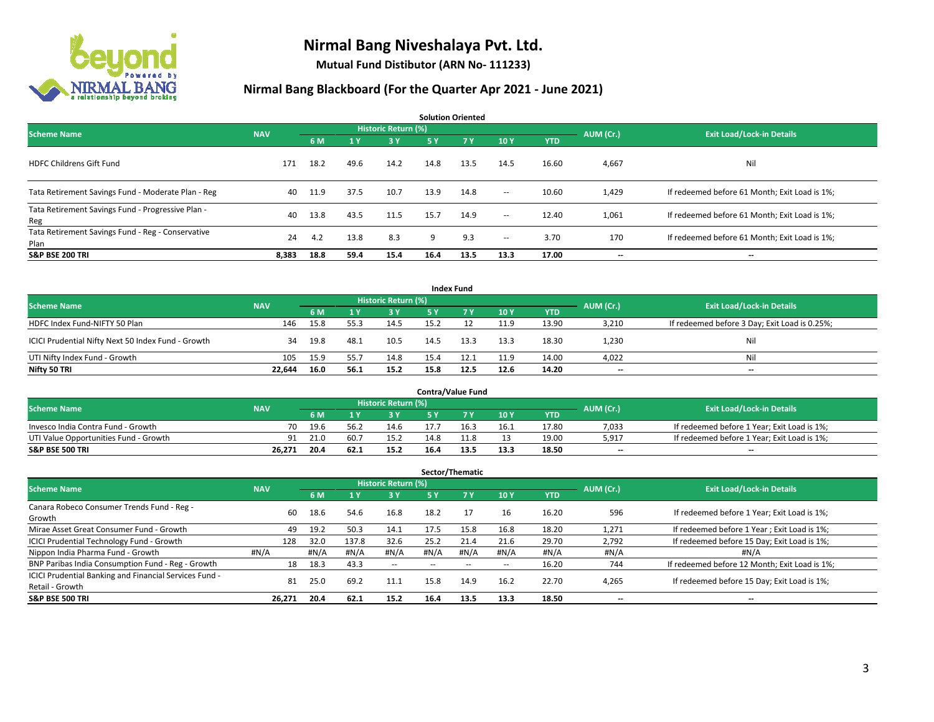

**Mutual Fund Distibutor (ARN No- 111233)**

| <b>Solution Oriented</b>                                  |            |      |                |                            |      |           |                          |            |           |                                               |  |  |  |
|-----------------------------------------------------------|------------|------|----------------|----------------------------|------|-----------|--------------------------|------------|-----------|-----------------------------------------------|--|--|--|
| <b>Scheme Name</b>                                        | <b>NAV</b> |      |                | <b>Historic Return (%)</b> |      |           |                          |            | AUM (Cr.) | <b>Exit Load/Lock-in Details</b>              |  |  |  |
|                                                           |            | 6 M  | 1 <sup>1</sup> | 3 Y                        | 5 Y  | <b>7Y</b> | 10Y                      | <b>YTD</b> |           |                                               |  |  |  |
| <b>HDFC Childrens Gift Fund</b>                           | 171        | 18.2 | 49.6           | 14.2                       | 14.8 | 13.5      | 14.5                     | 16.60      | 4,667     | Nil                                           |  |  |  |
| Tata Retirement Savings Fund - Moderate Plan - Reg        | 40         | 11.9 | 37.5           | 10.7                       | 13.9 | 14.8      | $ -$                     | 10.60      | 1,429     | If redeemed before 61 Month; Exit Load is 1%; |  |  |  |
| Tata Retirement Savings Fund - Progressive Plan -<br>Reg  | 40         | 13.8 | 43.5           | 11.5                       | 15.7 | 14.9      | $ -$                     | 12.40      | 1,061     | If redeemed before 61 Month; Exit Load is 1%; |  |  |  |
| Tata Retirement Savings Fund - Reg - Conservative<br>Plan | 24         | 4.2  | 13.8           | 8.3                        | 9    | 9.3       | $\overline{\phantom{a}}$ | 3.70       | 170       | If redeemed before 61 Month; Exit Load is 1%; |  |  |  |
| <b>S&amp;P BSE 200 TRI</b>                                | 8,383      | 18.8 | 59.4           | 15.4                       | 16.4 | 13.5      | 13.3                     | 17.00      | --        | $\hspace{0.05cm}$                             |  |  |  |

| <b>Index Fund</b>                                  |            |      |      |                     |      |             |      |            |           |                                               |  |  |  |  |
|----------------------------------------------------|------------|------|------|---------------------|------|-------------|------|------------|-----------|-----------------------------------------------|--|--|--|--|
| <b>Scheme Name</b>                                 | <b>NAV</b> |      |      | Historic Return (%) |      |             |      |            | AUM (Cr.) | <b>Exit Load/Lock-in Details</b>              |  |  |  |  |
|                                                    |            | 6 M  |      | 3 Y                 | 5 Y  | <b>77 Y</b> | 10Y  | <b>YTD</b> |           |                                               |  |  |  |  |
| HDFC Index Fund-NIFTY 50 Plan                      | 146        | 15.8 | 55.3 | 14.5                | 15.2 |             | 11.9 | 13.90      | 3,210     | If redeemed before 3 Day; Exit Load is 0.25%; |  |  |  |  |
| ICICI Prudential Nifty Next 50 Index Fund - Growth | 34         | 19.8 | 48.1 | 10.5                | 14.5 | 13.3        | 13.3 | 18.30      | 1.230     | Nil                                           |  |  |  |  |
| UTI Nifty Index Fund - Growth                      | 105        | 15.9 | 55.7 | 14.8                | 15.4 | 12.1        | 11.9 | 14.00      | 4,022     | Nil                                           |  |  |  |  |
| Nifty 50 TRI                                       | 22.644     | 16.0 | 56.1 | 15.2                | 15.8 | 12.5        | 12.6 | 14.20      | $- -$     | $\overline{\phantom{a}}$                      |  |  |  |  |

|                                       |            |                                  |       |      |      | <b>Contra/Value Fund</b> |      |       |       |                                             |
|---------------------------------------|------------|----------------------------------|-------|------|------|--------------------------|------|-------|-------|---------------------------------------------|
| <b>Scheme Name</b>                    | AUM (Cr.)  | <b>Exit Load/Lock-in Details</b> |       |      |      |                          |      |       |       |                                             |
|                                       | <b>NAV</b> | 6 M                              |       | 3 Y  |      |                          | 10Y  | YTD   |       |                                             |
| Invesco India Contra Fund - Growth    | 70         | 19.6                             | 56.   | 14.6 |      | 16.3                     | 16.1 | 17.80 | 7,033 | If redeemed before 1 Year; Exit Load is 1%; |
| UTI Value Opportunities Fund - Growth | 91         | 21.0                             | 60.7  | 15.2 | 14.8 | 11.8                     | 13   | 19.00 | 5,917 | If redeemed before 1 Year; Exit Load is 1%; |
| <b>S&amp;P BSE 500 TRI</b>            | 26.271     | 20.4                             | 62. . | 15.2 | 16.4 | 13.5                     | 13.3 | 18.50 | $-$   | $- -$                                       |

| Sector/Thematic                                                           |            |      |       |                            |        |                          |                          |            |                          |                                               |  |  |  |
|---------------------------------------------------------------------------|------------|------|-------|----------------------------|--------|--------------------------|--------------------------|------------|--------------------------|-----------------------------------------------|--|--|--|
| <b>Scheme Name</b>                                                        | <b>NAV</b> |      |       | <b>Historic Return (%)</b> |        |                          |                          |            | AUM (Cr.)                | <b>Exit Load/Lock-in Details</b>              |  |  |  |
|                                                                           |            | 6 M  |       | $-3V$                      | 5 Y    | <b>7Y</b>                | 10Y                      | <b>YTD</b> |                          |                                               |  |  |  |
| Canara Robeco Consumer Trends Fund - Reg -<br>Growth                      | 60         | 18.6 | 54.6  | 16.8                       | 18.2   |                          | 16                       | 16.20      | 596                      | If redeemed before 1 Year; Exit Load is 1%;   |  |  |  |
| Mirae Asset Great Consumer Fund - Growth                                  | 49         | 19.2 | 50.3  | 14.1                       | 17.5   | 15.8                     | 16.8                     | 18.20      | 1,271                    | If redeemed before 1 Year; Exit Load is 1%;   |  |  |  |
| <b>ICICI Prudential Technology Fund - Growth</b>                          | 128        | 32.0 | 137.8 | 32.6                       | 25.2   | 21.4                     | 21.6                     | 29.70      | 2,792                    | If redeemed before 15 Day; Exit Load is 1%;   |  |  |  |
| Nippon India Pharma Fund - Growth                                         | #N/A       | #N/A | #N/A  | #N/A                       | #N/A   | #N/A                     | #N/A                     | #N/A       | #N/A                     | #N/A                                          |  |  |  |
| BNP Paribas India Consumption Fund - Reg - Growth                         | 18         | 18.3 | 43.3  | $\sim$                     | $\sim$ | $\overline{\phantom{a}}$ | $\overline{\phantom{a}}$ | 16.20      | 744                      | If redeemed before 12 Month; Exit Load is 1%; |  |  |  |
| ICICI Prudential Banking and Financial Services Fund -<br>Retail - Growth | 81         | 25.0 | 69.2  | 11.1                       | 15.8   | 14.9                     | 16.2                     | 22.70      | 4,265                    | If redeemed before 15 Day; Exit Load is 1%;   |  |  |  |
| <b>S&amp;P BSE 500 TRI</b>                                                | 26,271     | 20.4 | 62.1  | 15.2                       | 16.4   | 13.5                     | 13.3                     | 18.50      | $\overline{\phantom{a}}$ | $\hspace{0.05cm}$                             |  |  |  |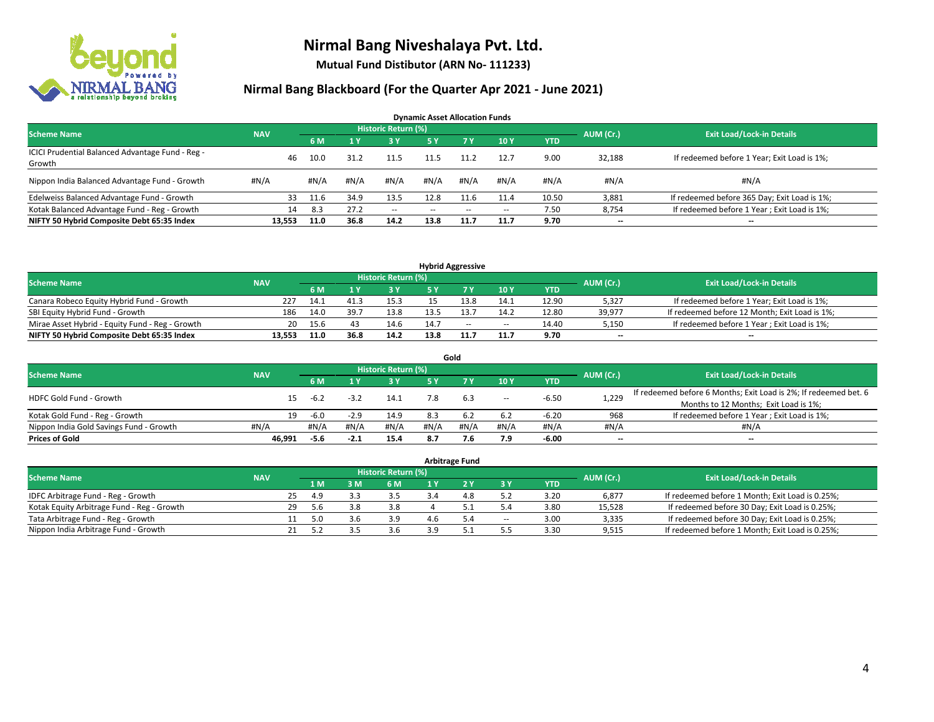

**Mutual Fund Distibutor (ARN No- 111233)**

| <b>Dynamic Asset Allocation Funds</b>            |            |      |      |                     |      |        |         |            |           |                                              |  |  |  |
|--------------------------------------------------|------------|------|------|---------------------|------|--------|---------|------------|-----------|----------------------------------------------|--|--|--|
| <b>Scheme Name</b>                               | <b>NAV</b> |      |      | Historic Return (%) |      |        |         |            | AUM (Cr.) | <b>Exit Load/Lock-in Details</b>             |  |  |  |
|                                                  |            | 6 M  |      | 3 Y                 | 5 Y  | 7Y     | 10Y     | <b>YTD</b> |           |                                              |  |  |  |
| ICICI Prudential Balanced Advantage Fund - Reg - | 46         | 10.0 | 31.2 | 11.5                | 11.5 | 11.2   | 12.7    | 9.00       | 32,188    | If redeemed before 1 Year; Exit Load is 1%;  |  |  |  |
| Growth                                           |            |      |      |                     |      |        |         |            |           |                                              |  |  |  |
| Nippon India Balanced Advantage Fund - Growth    | #N/A       | #N/A | #N/A | #N/A                | #N/A | #N/A   | # $N/A$ | #N/A       | #N/A      | #N/A                                         |  |  |  |
| Edelweiss Balanced Advantage Fund - Growth       | 33         | 11.6 | 34.9 | 13.5                | 12.8 | 11.6   | 11.4    | 10.50      | 3,881     | If redeemed before 365 Day; Exit Load is 1%; |  |  |  |
| Kotak Balanced Advantage Fund - Reg - Growth     | 14         | 8.3  | 27.2 | $\sim$              | --   | $\sim$ | $\!-$   | 7.50       | 8,754     | If redeemed before 1 Year; Exit Load is 1%;  |  |  |  |
| NIFTY 50 Hybrid Composite Debt 65:35 Index       | 13.553     | 11.0 | 36.8 | 14.2                | 13.8 | 11.7   | 11.7    | 9.70       | --        | --                                           |  |  |  |

| <b>Hybrid Aggressive</b>                        |            |      |      |                     |      |     |        |       |                          |                                               |  |  |  |
|-------------------------------------------------|------------|------|------|---------------------|------|-----|--------|-------|--------------------------|-----------------------------------------------|--|--|--|
| <b>Scheme Name</b>                              | <b>NAV</b> |      |      | Historic Return (%) |      |     |        |       | AUM (Cr.)                | <b>Exit Load/Lock-in Details</b>              |  |  |  |
|                                                 |            | 6 M  |      | 3Y                  |      |     | 10Y    | YTD   |                          |                                               |  |  |  |
| Canara Robeco Equity Hybrid Fund - Growth       | 227        | 14.1 |      | 15.3                |      |     | 14.1   | 12.90 | 5,327                    | If redeemed before 1 Year; Exit Load is 1%;   |  |  |  |
| SBI Equity Hybrid Fund - Growth                 | 186        | 14.0 | 39.7 | 13.8                | 13.5 |     | 14.2   | 12.80 | 39.977                   | If redeemed before 12 Month; Exit Load is 1%; |  |  |  |
| Mirae Asset Hybrid - Equity Fund - Reg - Growth | 20         | 15.6 |      | 14.6                | 14.7 | $-$ | $\sim$ | 14.40 | 5,150                    | If redeemed before 1 Year; Exit Load is 1%;   |  |  |  |
| NIFTY 50 Hybrid Composite Debt 65:35 Index      | 13.553     | 11.0 | 36.8 | 14.2                | 13.8 |     | 11.7   | 9.70  | $\overline{\phantom{a}}$ | $- -$                                         |  |  |  |

| Gold                                    |            |         |        |                     |      |      |                          |         |                          |                                                                  |  |  |  |
|-----------------------------------------|------------|---------|--------|---------------------|------|------|--------------------------|---------|--------------------------|------------------------------------------------------------------|--|--|--|
| <b>Scheme Name</b>                      | <b>NAV</b> |         |        | Historic Return (%) |      |      |                          |         | AUM (Cr.)                | <b>Exit Load/Lock-in Details</b>                                 |  |  |  |
|                                         |            | 6 M     |        | 73 Y                | 5 V  |      | 10Y                      | YTD     |                          |                                                                  |  |  |  |
| <b>HDFC Gold Fund - Growth</b>          |            | $-6.2$  | $-3.2$ | 14.1                |      | 6.3  | $\overline{\phantom{a}}$ | $-6.50$ | 1,229                    | If redeemed before 6 Months; Exit Load is 2%; If redeemed bet. 6 |  |  |  |
|                                         |            |         |        |                     |      |      |                          |         |                          | Months to 12 Months; Exit Load is 1%;                            |  |  |  |
| Kotak Gold Fund - Reg - Growth          | 19         | $-6.0$  | $-2.9$ | 14.9                | 8.3  | 6.2  | 6.2                      | $-6.20$ | 968                      | If redeemed before 1 Year; Exit Load is 1%;                      |  |  |  |
| Nippon India Gold Savings Fund - Growth | #N/A       | # $N/A$ | #N/A   | #N/A                | #N/A | #N/A | #N/A                     | #N/A    | #N/A                     | #N/A                                                             |  |  |  |
| <b>Prices of Gold</b>                   | 46,991     | -5.6    | $-2.1$ | 15.4                | 8.7  |      | 7.9                      | $-6.00$ | $\overline{\phantom{a}}$ | --                                                               |  |  |  |

| <b>Arbitrage Fund</b>                      |            |    |      |     |                     |  |           |       |            |           |                                                 |  |  |
|--------------------------------------------|------------|----|------|-----|---------------------|--|-----------|-------|------------|-----------|-------------------------------------------------|--|--|
| <b>Scheme Name</b>                         | <b>NAV</b> |    |      |     | Historic Return (%) |  |           |       |            | AUM (Cr.) | <b>Exit Load/Lock-in Details</b>                |  |  |
|                                            |            |    | 4 MZ | 3 M | 6 M                 |  |           | 3 Y   | <b>YTD</b> |           |                                                 |  |  |
| IDFC Arbitrage Fund - Reg - Growth         |            | 25 | 4.9  |     | 3.5                 |  | 10<br>4.0 | 5.2   | 3.20       | 6,877     | If redeemed before 1 Month; Exit Load is 0.25%; |  |  |
| Kotak Equity Arbitrage Fund - Reg - Growth |            | 29 | -5.6 | 3.8 | 3.8                 |  |           |       | 3.80       | 15,528    | If redeemed before 30 Day; Exit Load is 0.25%;  |  |  |
| Tata Arbitrage Fund - Reg - Growth         |            |    | 5.0  | 3.b | 3.9                 |  |           | $\!-$ | 3.00       | 3,335     | If redeemed before 30 Day; Exit Load is 0.25%;  |  |  |
| Nippon India Arbitrage Fund - Growth       |            |    | . .  |     | 3.6                 |  |           |       | 3.30       | 9,515     | If redeemed before 1 Month; Exit Load is 0.25%; |  |  |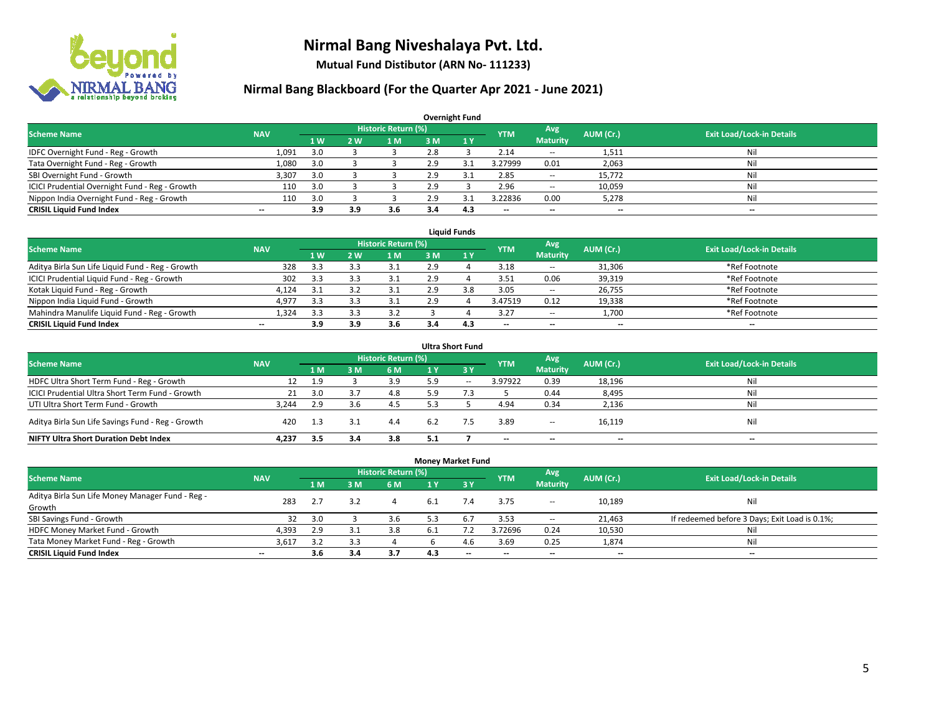

**Mutual Fund Distibutor (ARN No- 111233)**

| <b>Overnight Fund</b>                          |            |     |     |                            |     |              |                          |                          |           |                                  |  |  |  |  |
|------------------------------------------------|------------|-----|-----|----------------------------|-----|--------------|--------------------------|--------------------------|-----------|----------------------------------|--|--|--|--|
| <b>Scheme Name</b>                             | <b>NAV</b> |     |     | <b>Historic Return (%)</b> |     |              | <b>YTM</b>               | Avg                      | AUM (Cr.) | <b>Exit Load/Lock-in Details</b> |  |  |  |  |
|                                                |            | 1W  | 2 W | 1 M'                       | 3 M | $\sqrt{1}$ Y |                          | <b>Maturity</b>          |           |                                  |  |  |  |  |
| IDFC Overnight Fund - Reg - Growth             | 1,091      | 3.0 |     |                            | 2.8 |              | 2.14                     | $\overline{\phantom{a}}$ | 1,511     | Nil                              |  |  |  |  |
| Tata Overnight Fund - Reg - Growth             | 1,080      | 3.0 |     |                            | 2.9 | 3.1          | 3.27999                  | 0.01                     | 2,063     | Nil                              |  |  |  |  |
| SBI Overnight Fund - Growth                    | 3,307      | 3.0 |     |                            | 2.9 | 3.1          | 2.85                     | $\overline{\phantom{a}}$ | 15.772    | Nil                              |  |  |  |  |
| ICICI Prudential Overnight Fund - Reg - Growth | 110        | 3.0 |     |                            | 2.9 |              | 2.96                     | $\overline{\phantom{a}}$ | 10,059    | Nil                              |  |  |  |  |
| Nippon India Overnight Fund - Reg - Growth     | 110        | 3.0 |     |                            | 2.9 |              | 3.22836                  | 0.00                     | 5,278     | Nil                              |  |  |  |  |
| <b>CRISIL Liquid Fund Index</b>                | $- -$      | 3.9 | 3.9 | 3.6                        | 3.4 | 4.3          | $\overline{\phantom{a}}$ | $\overline{\phantom{a}}$ | $- -$     | $\overline{\phantom{a}}$         |  |  |  |  |

| <b>Liquid Funds</b>                              |            |                |     |                            |     |     |            |                          |                          |                                  |  |  |  |
|--------------------------------------------------|------------|----------------|-----|----------------------------|-----|-----|------------|--------------------------|--------------------------|----------------------------------|--|--|--|
| <b>Scheme Name</b>                               | <b>NAV</b> |                |     | <b>Historic Return (%)</b> |     |     | <b>YTM</b> | Avg                      | AUM (Cr.)                | <b>Exit Load/Lock-in Details</b> |  |  |  |
|                                                  |            | 1 <sub>W</sub> | 2 W | 1 M                        | з м |     |            | <b>Maturity</b>          |                          |                                  |  |  |  |
| Aditya Birla Sun Life Liquid Fund - Reg - Growth | 328        | 3.3            |     |                            | 2.9 |     | 3.18       | $- -$                    | 31,306                   | *Ref Footnote                    |  |  |  |
| ICICI Prudential Liquid Fund - Reg - Growth      | 302        | 3.3            |     |                            | 2.9 |     | 3.51       | 0.06                     | 39,319                   | *Ref Footnote                    |  |  |  |
| Kotak Liquid Fund - Reg - Growth                 | 4.124      |                |     |                            | 2.9 | 3.8 | 3.05       | $\sim$                   | 26,755                   | *Ref Footnote                    |  |  |  |
| Nippon India Liquid Fund - Growth                | 4,977      | 3.3            |     |                            | 2.9 |     | 3.47519    | 0.12                     | 19,338                   | *Ref Footnote                    |  |  |  |
| Mahindra Manulife Liquid Fund - Reg - Growth     | 1,324      | 3.3            |     | 3.2                        |     |     | 3.27       | $\sim$                   | 1,700                    | *Ref Footnote                    |  |  |  |
| <b>CRISIL Liquid Fund Index</b>                  | $- -$      | 3.9            | 3.9 | 3.6                        | 3.4 | 4.3 | $- -$      | $\overline{\phantom{a}}$ | $\overline{\phantom{a}}$ | $-$                              |  |  |  |

| <b>Ultra Short Fund</b>                           |            |     |                |                            |     |        |                          |                          |           |                                  |  |  |  |
|---------------------------------------------------|------------|-----|----------------|----------------------------|-----|--------|--------------------------|--------------------------|-----------|----------------------------------|--|--|--|
| <b>Scheme Name</b>                                | <b>NAV</b> |     |                | <b>Historic Return (%)</b> |     |        | <b>YTM</b>               | Avg                      | AUM (Cr.) | <b>Exit Load/Lock-in Details</b> |  |  |  |
|                                                   |            | 1 M | 3 <sub>M</sub> | 6 M                        | 1 Y | 3Y     |                          | <b>Maturity</b>          |           |                                  |  |  |  |
| HDFC Ultra Short Term Fund - Reg - Growth         | 12         | 1.9 |                | 3.9                        | 5.9 | $\sim$ | 3.97922                  | 0.39                     | 18,196    | Nil                              |  |  |  |
| ICICI Prudential Ultra Short Term Fund - Growth   | 21         | 3.0 |                | 4.8                        | 5.9 |        |                          | 0.44                     | 8,495     | Nil                              |  |  |  |
| UTI Ultra Short Term Fund - Growth                | 3.244      | 2.9 |                | 4.5                        | 5.3 |        | 4.94                     | 0.34                     | 2,136     | Ni                               |  |  |  |
| Aditya Birla Sun Life Savings Fund - Reg - Growth | 420        | 1.3 | 3.1            | 4.4                        | 6.2 |        | 3.89                     | $\overline{\phantom{a}}$ | 16,119    | Nil                              |  |  |  |
| <b>NIFTY Ultra Short Duration Debt Index</b>      | 4.237      | 3.5 | 3.4            | 3.8                        | 5.1 |        | $\overline{\phantom{a}}$ | $\overline{\phantom{a}}$ | $- -$     | $-$                              |  |  |  |

| <b>Money Market Fund</b>                         |                          |                |     |                            |      |     |                          |                          |           |                                               |  |  |  |  |
|--------------------------------------------------|--------------------------|----------------|-----|----------------------------|------|-----|--------------------------|--------------------------|-----------|-----------------------------------------------|--|--|--|--|
| <b>Scheme Name</b>                               | <b>NAV</b>               |                |     | <b>Historic Return (%)</b> |      |     | <b>YTM</b>               | Avg                      | AUM (Cr.) | <b>Exit Load/Lock-in Details</b>              |  |  |  |  |
|                                                  |                          | 1 <sub>M</sub> | 3M  | 6 M                        | 1 Y  | '3V |                          | <b>Maturity</b>          |           |                                               |  |  |  |  |
| Aditya Birla Sun Life Money Manager Fund - Reg - | 283                      | 2.7            | 3.2 |                            | -6.1 | 7.4 | 3.75                     |                          | 10,189    | Nil                                           |  |  |  |  |
| Growth                                           |                          |                |     |                            |      |     |                          | $\overline{\phantom{a}}$ |           |                                               |  |  |  |  |
| SBI Savings Fund - Growth                        | 32                       | 3.0            |     | 3.6                        | 5.3  | 6.7 | 3.53                     | $\overline{\phantom{a}}$ | 21,463    | If redeemed before 3 Days; Exit Load is 0.1%; |  |  |  |  |
| HDFC Money Market Fund - Growth                  | 4,393                    | 2.9            | 3.1 | 3.8                        |      |     | 3.72696                  | 0.24                     | 10,530    | Nil                                           |  |  |  |  |
| Tata Money Market Fund - Reg - Growth            | 3,617                    | 3.2            | 3.3 |                            |      | 4.6 | 3.69                     | 0.25                     | 1,874     | Nil                                           |  |  |  |  |
| <b>CRISIL Liquid Fund Index</b>                  | $\overline{\phantom{a}}$ | 3.6            | 3.4 | 3.7                        | 4.3  | $-$ | $\overline{\phantom{a}}$ | $\overline{\phantom{a}}$ | $- -$     | $-$                                           |  |  |  |  |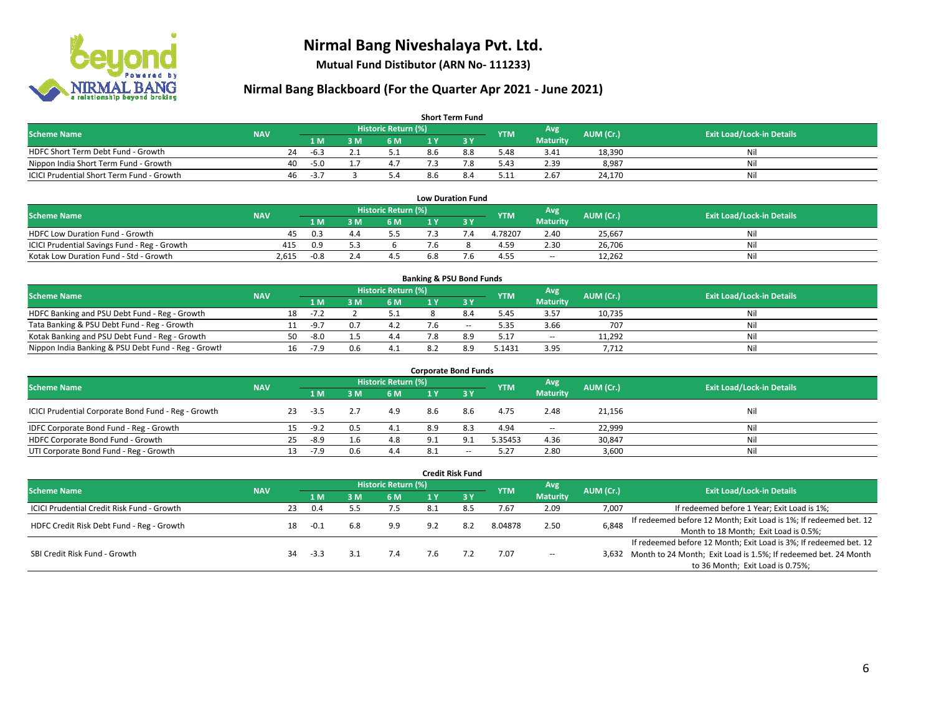

**Mutual Fund Distibutor (ARN No- 111233)**

| <b>Short Term Fund</b>                    |            |    |        |     |                            |     |     |            |                 |           |                                  |  |  |  |
|-------------------------------------------|------------|----|--------|-----|----------------------------|-----|-----|------------|-----------------|-----------|----------------------------------|--|--|--|
| <b>Scheme Name</b>                        | <b>NAV</b> |    |        |     | <b>Historic Return (%)</b> |     |     | <b>YTM</b> | Avg             | AUM (Cr.) | <b>Exit Load/Lock-in Details</b> |  |  |  |
|                                           |            |    | 1 M.   | 3 M | 6 M                        | 1 V |     |            | <b>Maturity</b> |           |                                  |  |  |  |
| HDFC Short Term Debt Fund - Growth        |            | 24 | -6.3   |     |                            | 8.6 | 8.8 | 5.48       | 3.41            | 18,390    | Nil                              |  |  |  |
| Nippon India Short Term Fund - Growth     |            | 40 | $-5.0$ |     |                            |     |     | 5.43       | 2.39            | 8,987     | Nil                              |  |  |  |
| ICICI Prudential Short Term Fund - Growth |            | 46 | $-3.7$ |     | 5.4                        | 8.b |     | 5.11       | 2.67            | 24.170    | Nil                              |  |  |  |

| <b>Low Duration Fund</b>                     |            |        |     |                     |     |  |            |                 |           |                                  |  |  |  |  |
|----------------------------------------------|------------|--------|-----|---------------------|-----|--|------------|-----------------|-----------|----------------------------------|--|--|--|--|
| <b>Scheme Name</b>                           | <b>NAV</b> |        |     | Historic Return (%) |     |  | <b>YTM</b> | Avg             | AUM (Cr.) | <b>Exit Load/Lock-in Details</b> |  |  |  |  |
|                                              |            | 1 M    |     | 6 M                 |     |  |            | <b>Maturity</b> |           |                                  |  |  |  |  |
| HDFC Low Duration Fund - Growth              | 45         | 0.3    | 4.4 | 5.5                 |     |  | 4.78207    | 2.40            | 25.667    | Nil                              |  |  |  |  |
| ICICI Prudential Savings Fund - Reg - Growth | 415        | 0.9    |     |                     | 7.6 |  | 4.59       | 2.30            | 26,706    | Nil                              |  |  |  |  |
| Kotak Low Duration Fund - Std - Growth       | 2,615      | $-0.8$ |     | 4.5                 | 6.8 |  | 4.55       | $\sim$          | 12,262    | Nil                              |  |  |  |  |

| <b>Banking &amp; PSU Bond Funds</b>                 |            |    |           |     |                     |  |        |            |                 |           |                                  |  |  |  |
|-----------------------------------------------------|------------|----|-----------|-----|---------------------|--|--------|------------|-----------------|-----------|----------------------------------|--|--|--|
| <b>Scheme Name</b>                                  | <b>NAV</b> |    |           |     | Historic Return (%) |  |        | <b>YTM</b> | Avg             | AUM (Cr.) | <b>Exit Load/Lock-in Details</b> |  |  |  |
|                                                     |            |    | 1 M       | . M | 6 M                 |  |        |            | <b>Maturity</b> |           |                                  |  |  |  |
| HDFC Banking and PSU Debt Fund - Reg - Growth       |            | 18 | $-7$ $-7$ |     |                     |  |        | 5.45       | 3.57            | 10,735    | Nil                              |  |  |  |
| Tata Banking & PSU Debt Fund - Reg - Growth         |            |    | $-9.7$    | 0.7 |                     |  | $\sim$ | 5.35       | 3.66            | 707       | Nil                              |  |  |  |
| Kotak Banking and PSU Debt Fund - Reg - Growth      |            | 50 | $-8.0$    |     | 4.4                 |  | 8.9    | 5.17       | $\sim$          | 11,292    | Nil                              |  |  |  |
| Nippon India Banking & PSU Debt Fund - Reg - Growth |            | 16 | $-7.9$    | 0.6 | 4.1                 |  | 8.9    | 5.1431     | 3.95            | 7,712     | Nil                              |  |  |  |

| <b>Corporate Bond Funds</b>                         |            |    |      |     |                            |     |                          |            |                 |           |                                  |  |  |  |
|-----------------------------------------------------|------------|----|------|-----|----------------------------|-----|--------------------------|------------|-----------------|-----------|----------------------------------|--|--|--|
| <b>Scheme Name</b>                                  |            |    |      |     | <b>Historic Return (%)</b> |     |                          | <b>YTM</b> | Avg             | AUM (Cr.) | <b>Exit Load/Lock-in Details</b> |  |  |  |
|                                                     | <b>NAV</b> |    | 1 M  | M   | 6 M                        | 1 Y | 73 Y                     |            | <b>Maturity</b> |           |                                  |  |  |  |
| ICICI Prudential Corporate Bond Fund - Reg - Growth |            | 23 | -3.5 |     | 4.9                        | 8.6 | 8.6                      | 4.75       | 2.48            | 21,156    | Nil                              |  |  |  |
| IDFC Corporate Bond Fund - Reg - Growth             |            |    | -9.2 | 0.5 | 4.1                        | 8.9 | 8.3                      | 4.94       | $\sim$          | 22,999    | Nil                              |  |  |  |
| HDFC Corporate Bond Fund - Growth                   |            | 25 | -8.9 |     | 4.8                        | 9.1 | 9.1                      | 5.35453    | 4.36            | 30,847    | Nil                              |  |  |  |
| UTI Corporate Bond Fund - Reg - Growth              |            |    | -7.9 | 0.6 | 4.4                        | 8.1 | $\overline{\phantom{a}}$ | 5.27       | 2.80            | 3,600     | Nil                              |  |  |  |

| <b>Credit Risk Fund</b>                           |            |    |        |     |                            |      |         |            |                        |           |                                                                       |  |  |
|---------------------------------------------------|------------|----|--------|-----|----------------------------|------|---------|------------|------------------------|-----------|-----------------------------------------------------------------------|--|--|
| <b>Scheme Name</b>                                | <b>NAV</b> |    |        |     | <b>Historic Return (%)</b> |      |         | <b>YTM</b> | Avg<br><b>Maturity</b> | AUM (Cr.) | <b>Exit Load/Lock-in Details</b>                                      |  |  |
|                                                   |            |    | 1 M    | 8 M | 6 M                        | 1 Y  | $Z_3$ Y |            |                        |           |                                                                       |  |  |
| <b>ICICI Prudential Credit Risk Fund - Growth</b> |            | 23 | 0.4    |     | 7.5                        | -8.1 | 8.5     | 7.67       | 2.09                   | 7,007     | If redeemed before 1 Year; Exit Load is 1%;                           |  |  |
| HDFC Credit Risk Debt Fund - Reg - Growth         |            | 18 | $-0.1$ | 6.8 | 9.9                        | 9.2  | 8.2     | 8.04878    | 2.50                   | 6,848     | If redeemed before 12 Month; Exit Load is 1%; If redeemed bet. 12     |  |  |
|                                                   |            |    |        |     |                            |      |         |            |                        |           | Month to 18 Month; Exit Load is 0.5%;                                 |  |  |
| SBI Credit Risk Fund - Growth                     |            |    |        |     |                            |      |         |            |                        |           | If redeemed before 12 Month; Exit Load is 3%; If redeemed bet. 12     |  |  |
|                                                   |            | 34 | -3.3   |     | 7.4                        | 7.6  |         | 7.07       | $\sim$                 |           | 3,632 Month to 24 Month; Exit Load is 1.5%; If redeemed bet. 24 Month |  |  |
|                                                   |            |    |        |     |                            |      |         |            |                        |           | to 36 Month; Exit Load is 0.75%;                                      |  |  |